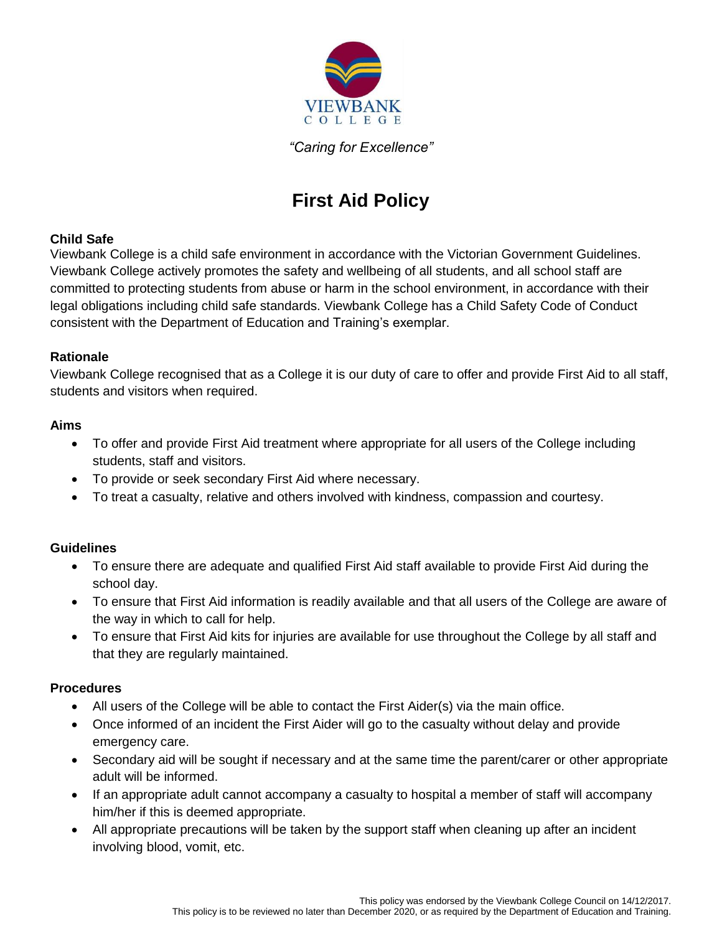

*"Caring for Excellence"*

# **First Aid Policy**

### **Child Safe**

Viewbank College is a child safe environment in accordance with the Victorian Government Guidelines. Viewbank College actively promotes the safety and wellbeing of all students, and all school staff are committed to protecting students from abuse or harm in the school environment, in accordance with their legal obligations including child safe standards. Viewbank College has a Child Safety Code of Conduct consistent with the Department of Education and Training's exemplar.

### **Rationale**

Viewbank College recognised that as a College it is our duty of care to offer and provide First Aid to all staff, students and visitors when required.

### **Aims**

- To offer and provide First Aid treatment where appropriate for all users of the College including students, staff and visitors.
- To provide or seek secondary First Aid where necessary.
- To treat a casualty, relative and others involved with kindness, compassion and courtesy.

## **Guidelines**

- To ensure there are adequate and qualified First Aid staff available to provide First Aid during the school day.
- To ensure that First Aid information is readily available and that all users of the College are aware of the way in which to call for help.
- To ensure that First Aid kits for injuries are available for use throughout the College by all staff and that they are regularly maintained.

#### **Procedures**

- All users of the College will be able to contact the First Aider(s) via the main office.
- Once informed of an incident the First Aider will go to the casualty without delay and provide emergency care.
- Secondary aid will be sought if necessary and at the same time the parent/carer or other appropriate adult will be informed.
- If an appropriate adult cannot accompany a casualty to hospital a member of staff will accompany him/her if this is deemed appropriate.
- All appropriate precautions will be taken by the support staff when cleaning up after an incident involving blood, vomit, etc.